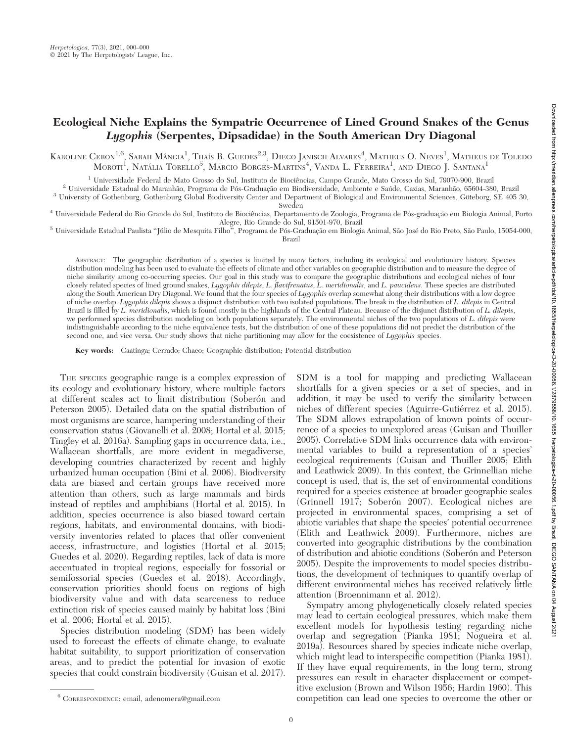# Ecological Niche Explains the Sympatric Occurrence of Lined Ground Snakes of the Genus Lygophis (Serpentes, Dipsadidae) in the South American Dry Diagonal

KAROLINE CERON<sup>1,6</sup>, SARAH MÂNGIA<sup>1</sup>, Thaís B. Guedes<sup>2,3</sup>, Diego Janisch Alvares<sup>4</sup>, Matheus O. Neves<sup>1</sup>, Matheus de Toledo MOROTI<sup>1</sup>, Natália Torello<sup>5</sup>, Márcio Borges-Martins<sup>4</sup>, Vanda L. Ferreira<sup>1</sup>, and Diego J. Santana<sup>1</sup>

 $^{\rm 1}$ Universidade Federal de Mato Grosso do Sul, Instituto de Biociências, Campo Grande, Mato Grosso do Sul, 79070-900, Brazil $^{\rm 2}$ Universidade Estadual do Maranhão, Programa de Pós-Graduação em Biodiversidade, Ambi

<sup>4</sup> Universidade Federal do Rio Grande do Sul, Instituto de Biociências, Departamento de Zoologia, Programa de Pós-graduação em Biologia Animal, Porto Alegre, Rio Grande do Sul, 91501-970, Brazil

 $^5$  Universidade Estadual Paulista "Júlio de Mesquita Filho", Programa de Pós-Graduação em Biologia Animal, São José do Rio Preto, São Paulo, 15054-000,

Brazil

ABSTRACT: The geographic distribution of a species is limited by many factors, including its ecological and evolutionary history. Species distribution modeling has been used to evaluate the effects of climate and other variables on geographic distribution and to measure the degree of niche similarity among co-occurring species. Our goal in this study was to compare the geographic distributions and ecological niches of four closely related species of lined ground snakes, Lygophis dilepis, L. flavifrenatus, L. meridionalis, and L. paucidens. These species are distributed along the South American Dry Diagonal. We found that the four species of Lygophis overlap somewhat along their distributions with a low degree of niche overlap. Lygophis dilepis shows a disjunct distribution with two isolated populations. The break in the distribution of L. dilepis in Central Brazil is filled by L. meridionalis, which is found mostly in the highlands of the Central Plateau. Because of the disjunct distribution of L. dilepis, we performed species distribution modeling on both populations separately. The environmental niches of the two populations of L. dilepis were indistinguishable according to the niche equivalence tests, but the distribution of one of these populations did not predict the distribution of the second one, and vice versa. Our study shows that niche partitioning may allow for the coexistence of Lygophis species.

Key words: Caatinga; Cerrado; Chaco; Geographic distribution; Potential distribution

THE SPECIES geographic range is a complex expression of its ecology and evolutionary history, where multiple factors at different scales act to limit distribution (Soberón and Peterson 2005). Detailed data on the spatial distribution of most organisms are scarce, hampering understanding of their conservation status (Giovanelli et al. 2008; Hortal et al. 2015; Tingley et al. 2016a). Sampling gaps in occurrence data, i.e., Wallacean shortfalls, are more evident in megadiverse, developing countries characterized by recent and highly urbanized human occupation (Bini et al. 2006). Biodiversity data are biased and certain groups have received more attention than others, such as large mammals and birds instead of reptiles and amphibians (Hortal et al. 2015). In addition, species occurrence is also biased toward certain regions, habitats, and environmental domains, with biodiversity inventories related to places that offer convenient access, infrastructure, and logistics (Hortal et al. 2015; Guedes et al. 2020). Regarding reptiles, lack of data is more accentuated in tropical regions, especially for fossorial or semifossorial species (Guedes et al. 2018). Accordingly, conservation priorities should focus on regions of high biodiversity value and with data scarceness to reduce extinction risk of species caused mainly by habitat loss (Bini et al. 2006; Hortal et al. 2015).

Species distribution modeling (SDM) has been widely used to forecast the effects of climate change, to evaluate habitat suitability, to support prioritization of conservation areas, and to predict the potential for invasion of exotic species that could constrain biodiversity (Guisan et al. 2017). SDM is a tool for mapping and predicting Wallacean shortfalls for a given species or a set of species, and in addition, it may be used to verify the similarity between niches of different species (Aguirre-Gutiérrez et al. 2015). The SDM allows extrapolation of known points of occurrence of a species to unexplored areas (Guisan and Thuiller 2005). Correlative SDM links occurrence data with environmental variables to build a representation of a species' ecological requirements (Guisan and Thuiller 2005; Elith and Leathwick 2009). In this context, the Grinnellian niche concept is used, that is, the set of environmental conditions required for a species existence at broader geographic scales (Grinnell 1917; Soberón 2007). Ecological niches are projected in environmental spaces, comprising a set of abiotic variables that shape the species' potential occurrence (Elith and Leathwick 2009). Furthermore, niches are converted into geographic distributions by the combination of distribution and abiotic conditions (Soberon and Peterson 2005). Despite the improvements to model species distributions, the development of techniques to quantify overlap of different environmental niches has received relatively little attention (Broennimann et al. 2012).

Sympatry among phylogenetically closely related species may lead to certain ecological pressures, which make them excellent models for hypothesis testing regarding niche overlap and segregation (Pianka 1981; Nogueira et al. 2019a). Resources shared by species indicate niche overlap, which might lead to interspecific competition (Pianka 1981). If they have equal requirements, in the long term, strong pressures can result in character displacement or competitive exclusion (Brown and Wilson 1956; Hardin 1960). This competition can lead one species to overcome the other or <sup>6</sup> CORRESPONDENCE: email, adenomera@gmail.com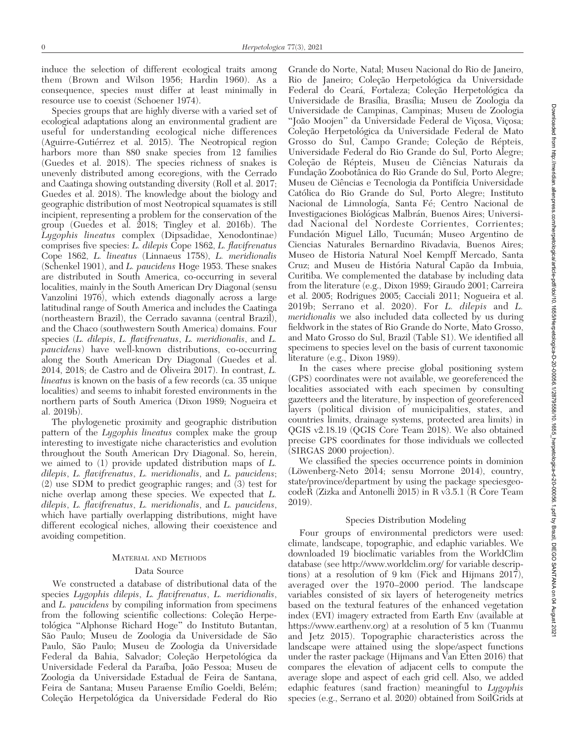induce the selection of different ecological traits among them (Brown and Wilson 1956; Hardin 1960). As a consequence, species must differ at least minimally in resource use to coexist (Schoener 1974).

Species groups that are highly diverse with a varied set of ecological adaptations along an environmental gradient are useful for understanding ecological niche differences (Aguirre-Gutiérrez et al. 2015). The Neotropical region harbors more than 880 snake species from 12 families (Guedes et al. 2018). The species richness of snakes is unevenly distributed among ecoregions, with the Cerrado and Caatinga showing outstanding diversity (Roll et al. 2017; Guedes et al. 2018). The knowledge about the biology and geographic distribution of most Neotropical squamates is still incipient, representing a problem for the conservation of the group (Guedes et al. 2018; Tingley et al. 2016b). The Lygophis lineatus complex (Dipsadidae, Xenodontinae) comprises five species: L. dilepis Cope 1862, L. flavifrenatus Cope 1862, L. lineatus (Linnaeus 1758), L. meridionalis (Schenkel 1901), and L. paucidens Hoge 1953. These snakes are distributed in South America, co-occurring in several localities, mainly in the South American Dry Diagonal (sensu Vanzolini 1976), which extends diagonally across a large latitudinal range of South America and includes the Caatinga (northeastern Brazil), the Cerrado savanna (central Brazil), and the Chaco (southwestern South America) domains. Four species (L. dilepis, L. flavifrenatus, L. meridionalis, and L. paucidens) have well-known distributions, co-occurring along the South American Dry Diagonal (Guedes et al. 2014, 2018; de Castro and de Oliveira 2017). In contrast, L. lineatus is known on the basis of a few records (ca. 35 unique localities) and seems to inhabit forested environments in the northern parts of South America (Dixon 1989; Nogueira et al. 2019b).

The phylogenetic proximity and geographic distribution pattern of the Lygophis lineatus complex make the group interesting to investigate niche characteristics and evolution throughout the South American Dry Diagonal. So, herein, we aimed to (1) provide updated distribution maps of L. dilepis, L. flavifrenatus, L. meridionalis, and L. paucidens; (2) use SDM to predict geographic ranges; and (3) test for niche overlap among these species. We expected that L. dilepis, L. flavifrenatus, L. meridionalis, and L. paucidens, which have partially overlapping distributions, might have different ecological niches, allowing their coexistence and avoiding competition.

#### MATERIAL AND METHODS

#### Data Source

We constructed a database of distributional data of the species Lygophis dilepis, L. flavifrenatus, L. meridionalis, and L. paucidens by compiling information from specimens from the following scientific collections: Coleção Herpetológica "Alphonse Richard Hoge" do Instituto Butantan, São Paulo; Museu de Zoologia da Universidade de São Paulo, São Paulo; Museu de Zoologia da Universidade Federal da Bahia, Salvador; Coleção Herpetológica da Universidade Federal da Paraíba, João Pessoa; Museu de Zoologia da Universidade Estadual de Feira de Santana, Feira de Santana; Museu Paraense Emílio Goeldi, Belém; Coleção Herpetológica da Universidade Federal do Rio

Grande do Norte, Natal; Museu Nacional do Rio de Janeiro, Rio de Janeiro; Coleção Herpetológica da Universidade Federal do Ceará, Fortaleza; Coleção Herpetológica da Universidade de Brasília, Brasília; Museu de Zoologia da Universidade de Campinas, Campinas; Museu de Zoologia "João Moojen" da Universidade Federal de Viçosa, Viçosa; Coleção Herpetológica da Universidade Federal de Mato Grosso do Sul, Campo Grande; Coleção de Répteis, Universidade Federal do Rio Grande do Sul, Porto Alegre; Coleção de Répteis, Museu de Ciências Naturais da Fundação Zoobotânica do Rio Grande do Sul, Porto Alegre; Museu de Ciências e Tecnologia da Pontifícia Universidade Catolica do Rio Grande do Sul, Porto Alegre; Instituto ´ Nacional de Limnología, Santa Fé; Centro Nacional de Investigaciones Biológicas Malbrán, Buenos Aires; Universidad Nacional del Nordeste Corrientes, Corrientes; Fundación Miguel Lillo, Tucumán; Museo Argentino de Ciencias Naturales Bernardino Rivadavia, Buenos Aires; Museo de Historia Natural Noel Kempff Mercado, Santa Cruz; and Museu de História Natural Capão da Imbuia, Curitiba. We complemented the database by including data from the literature (e.g., Dixon 1989; Giraudo 2001; Carreira et al. 2005; Rodrigues 2005; Cacciali 2011; Nogueira et al. 2019b; Serrano et al. 2020). For L. dilepis and L. meridionalis we also included data collected by us during fieldwork in the states of Rio Grande do Norte, Mato Grosso, and Mato Grosso do Sul, Brazil (Table S1). We identified all specimens to species level on the basis of current taxonomic literature (e.g., Dixon 1989).

In the cases where precise global positioning system (GPS) coordinates were not available, we georeferenced the localities associated with each specimen by consulting gazetteers and the literature, by inspection of georeferenced layers (political division of municipalities, states, and countries limits, drainage systems, protected area limits) in QGIS v2.18.19 (QGIS Core Team 2018). We also obtained precise GPS coordinates for those individuals we collected (SIRGAS 2000 projection).

We classified the species occurrence points in dominion (Löwenberg-Neto 2014; sensu Morrone 2014), country, state/province/department by using the package speciesgeocodeR (Zizka and Antonelli 2015) in R v3.5.1 (R Core Team 2019).

#### Species Distribution Modeling

Four groups of environmental predictors were used: climate, landscape, topographic, and edaphic variables. We downloaded 19 bioclimatic variables from the WorldClim database (see http://www.worldclim.org/ for variable descriptions) at a resolution of 9 km (Fick and Hijmans 2017), averaged over the 1970–2000 period. The landscape variables consisted of six layers of heterogeneity metrics based on the textural features of the enhanced vegetation index (EVI) imagery extracted from Earth Env (available at https://www.earthenv.org) at a resolution of 5 km (Tuanmu and Jetz 2015). Topographic characteristics across the landscape were attained using the slope/aspect functions under the raster package (Hijmans and Van Etten 2016) that compares the elevation of adjacent cells to compute the average slope and aspect of each grid cell. Also, we added edaphic features (sand fraction) meaningful to Lygophis species (e.g., Serrano et al. 2020) obtained from SoilGrids at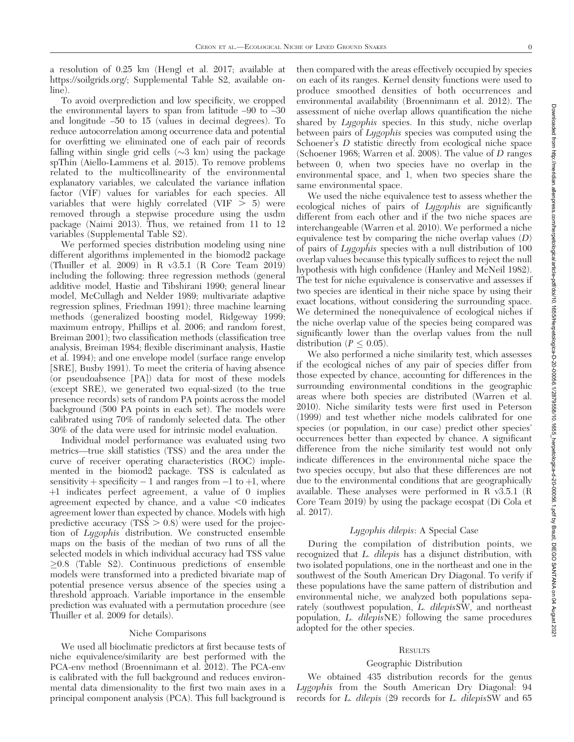a resolution of 0.25 km (Hengl et al. 2017; available at https://soilgrids.org/; Supplemental Table S2, available online).

To avoid overprediction and low specificity, we cropped the environmental layers to span from latitude –90 to –30 and longitude –50 to 15 (values in decimal degrees). To reduce autocorrelation among occurrence data and potential for overfitting we eliminated one of each pair of records falling within single grid cells  $(\sim 3 \text{ km})$  using the package spThin (Aiello-Lammens et al. 2015). To remove problems related to the multicollinearity of the environmental explanatory variables, we calculated the variance inflation factor (VIF) values for variables for each species. All variables that were highly correlated (VIF  $> 5$ ) were removed through a stepwise procedure using the usdm package (Naimi 2013). Thus, we retained from 11 to 12 variables (Supplemental Table S2).

We performed species distribution modeling using nine different algorithms implemented in the biomod2 package (Thuiller et al. 2009) in R v3.5.1 (R Core Team 2019) including the following: three regression methods (general additive model, Hastie and Tibshirani 1990; general linear model, McCullagh and Nelder 1989; multivariate adaptive regression splines, Friedman 1991); three machine learning methods (generalized boosting model, Ridgeway 1999; maximum entropy, Phillips et al. 2006; and random forest, Breiman 2001); two classification methods (classification tree analysis, Breiman 1984; flexible discriminant analysis, Hastie et al. 1994); and one envelope model (surface range envelop [SRE], Busby 1991). To meet the criteria of having absence (or pseudoabsence [PA]) data for most of these models (except SRE), we generated two equal-sized (to the true presence records) sets of random PA points across the model background (500 PA points in each set). The models were calibrated using 70% of randomly selected data. The other 30% of the data were used for intrinsic model evaluation.

Individual model performance was evaluated using two metrics—true skill statistics (TSS) and the area under the curve of receiver operating characteristics (ROC) implemented in the biomod2 package. TSS is calculated as sensitivity + specificity  $-1$  and ranges from  $-1$  to  $+1$ , where þ1 indicates perfect agreement, a value of 0 implies agreement expected by chance, and a value  $<0$  indicates agreement lower than expected by chance. Models with high predictive accuracy  $(TS\bar{S} > 0.8)$  were used for the projection of Lygophis distribution. We constructed ensemble maps on the basis of the median of two runs of all the selected models in which individual accuracy had TSS value  $\geq$ 0.8 (Table S2). Continuous predictions of ensemble models were transformed into a predicted bivariate map of potential presence versus absence of the species using a threshold approach. Variable importance in the ensemble prediction was evaluated with a permutation procedure (see Thuiller et al. 2009 for details).

#### Niche Comparisons

We used all bioclimatic predictors at first because tests of niche equivalence/similarity are best performed with the PCA-env method (Broennimann et al. 2012). The PCA-env is calibrated with the full background and reduces environmental data dimensionality to the first two main axes in a principal component analysis (PCA). This full background is then compared with the areas effectively occupied by species on each of its ranges. Kernel density functions were used to produce smoothed densities of both occurrences and environmental availability (Broennimann et al. 2012). The assessment of niche overlap allows quantification the niche shared by Lygophis species. In this study, niche overlap between pairs of Lygophis species was computed using the Schoener's D statistic directly from ecological niche space (Schoener 1968; Warren et al. 2008). The value of D ranges between 0, when two species have no overlap in the environmental space, and 1, when two species share the same environmental space.

We used the niche equivalence test to assess whether the ecological niches of pairs of Lygophis are significantly different from each other and if the two niche spaces are interchangeable (Warren et al. 2010). We performed a niche equivalence test by comparing the niche overlap values (D) of pairs of Lygophis species with a null distribution of 100 overlap values because this typically suffices to reject the null hypothesis with high confidence (Hanley and McNeil 1982). The test for niche equivalence is conservative and assesses if two species are identical in their niche space by using their exact locations, without considering the surrounding space. We determined the nonequivalence of ecological niches if the niche overlap value of the species being compared was significantly lower than the overlap values from the null distribution ( $P \leq 0.05$ ).

We also performed a niche similarity test, which assesses if the ecological niches of any pair of species differ from those expected by chance, accounting for differences in the surrounding environmental conditions in the geographic areas where both species are distributed (Warren et al. 2010). Niche similarity tests were first used in Peterson (1999) and test whether niche models calibrated for one species (or population, in our case) predict other species' occurrences better than expected by chance. A significant difference from the niche similarity test would not only indicate differences in the environmental niche space the two species occupy, but also that these differences are not due to the environmental conditions that are geographically available. These analyses were performed in R v3.5.1 (R Core Team 2019) by using the package ecospat (Di Cola et al. 2017).

## Lygophis dilepis: A Special Case

During the compilation of distribution points, we recognized that L. dilepis has a disjunct distribution, with two isolated populations, one in the northeast and one in the southwest of the South American Dry Diagonal. To verify if these populations have the same pattern of distribution and environmental niche, we analyzed both populations separately (southwest population, L. dilepisSW, and northeast population, L. dilepisNE) following the same procedures adopted for the other species.

#### **RESULTS**

## Geographic Distribution

We obtained 435 distribution records for the genus Lygophis from the South American Dry Diagonal: 94 records for L. dilepis (29 records for L. dilepisSW and 65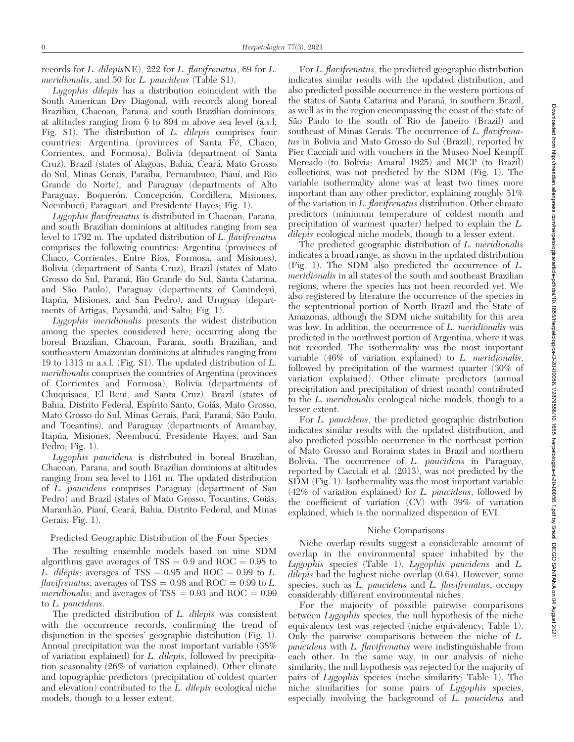records for L. dilepisNE), 222 for L. flavifrenatus, 69 for L. meridionalis, and 50 for L. paucidens (Table S1).

Lygophis dilepis has a distribution coincident with the South American Dry Diagonal, with records along boreal Brazilian, Chacoan, Parana, and south Brazilian dominions, at altitudes ranging from 6 to 894 m above sea level (a.s.l; Fig. S1). The distribution of L. dilepis comprises four countries: Argentina (provinces of Santa Fé, Chaco, Corrientes, and Formosa), Bolivia (department of Santa Cruz), Brazil (states of Alagoas, Bahia, Ceara´, Mato Grosso do Sul, Minas Gerais, Paraíba, Pernambuco, Piauí, and Rio Grande do Norte), and Paraguay (departments of Alto Paraguay, Boquerón, Concepción, Cordillera, Misiones, Neembucú, Paraguari, and Presidente Hayes; Fig. 1).

Lygophis flavifrenatus is distributed in Chacoan, Parana, and south Brazilian dominions at altitudes ranging from sea level to 1792 m. The updated distribution of L. flavifrenatus comprises the following countries: Argentina (provinces of Chaco, Corrientes, Entre Ríos, Formosa, and Misiones), Bolivia (department of Santa Cruz), Brazil (states of Mato Grosso do Sul, Paraná, Rio Grande do Sul, Santa Catarina, and São Paulo), Paraguay (departments of Canindeyú, Itapúa, Misiones, and San Pedro), and Uruguay (departments of Artigas, Paysandú, and Salto; Fig. 1).

Lygophis meridionalis presents the widest distribution among the species considered here, occurring along the boreal Brazilian, Chacoan, Parana, south Brazilian, and southeastern Amazonian dominions at altitudes ranging from 19 to 1313 m a.s.l. (Fig. S1). The updated distribution of L. meridionalis comprises the countries of Argentina (provinces of Corrientes and Formosa), Bolivia (departments of Chuquisaca, El Beni, and Santa Cruz), Brazil (states of Bahia, Distrito Federal, Espírito Santo, Goiás, Mato Grosso, Mato Grosso do Sul, Minas Gerais, Pará, Paraná, São Paulo, and Tocantins), and Paraguay (departments of Amambay, Itapúa, Misiones, Ñeembucú, Presidente Hayes, and San Pedro; Fig. 1).

Lygophis paucidens is distributed in boreal Brazilian, Chacoan, Parana, and south Brazilian dominions at altitudes ranging from sea level to 1161 m. The updated distribution of L. paucidens comprises Paraguay (department of San Pedro) and Brazil (states of Mato Grosso, Tocantins, Goiás, Maranhão, Piauí, Ceará, Bahia, Distrito Federal, and Minas Gerais; Fig. 1).

#### Predicted Geographic Distribution of the Four Species

The resulting ensemble models based on nine SDM algorithms gave averages of  $TSS = 0.9$  and  $ROC = 0.98$  to L. dilepis; averages of TSS =  $0.95$  and ROC =  $0.99$  to L. flavifrenatus; averages of TSS =  $0.98$  and ROC =  $0.99$  to L. meridionalis; and averages of  $TSS = 0.93$  and  $ROC = 0.99$ to L. paucidens.

The predicted distribution of L. dilepis was consistent with the occurrence records, confirming the trend of disjunction in the species' geographic distribution (Fig. 1). Annual precipitation was the most important variable (38% of variation explained) for L. dilepis, followed by precipitation seasonality (26% of variation explained). Other climate and topographic predictors (precipitation of coldest quarter and elevation) contributed to the L. dilepis ecological niche models, though to a lesser extent.

For L. flavifrenatus, the predicted geographic distribution indicates similar results with the updated distribution, and also predicted possible occurrence in the western portions of the states of Santa Catarina and Paraná, in southern Brazil, as well as in the region encompassing the coast of the state of São Paulo to the south of Rio de Janeiro (Brazil) and southeast of Minas Gerais. The occurrence of L. flavifrenatus in Bolivia and Mato Grosso do Sul (Brazil), reported by Pier Cacciali and with vouchers in the Museo Noel Kempff Mercado (to Bolivia; Amaral 1925) and MCP (to Brazil) collections, was not predicted by the SDM (Fig. 1). The variable isothermality alone was at least two times more important than any other predictor, explaining roughly 51% of the variation in L. flavifrenatus distribution. Other climate predictors (minimum temperature of coldest month and precipitation of warmest quarter) helped to explain the L. dilepis ecological niche models, though to a lesser extent.

The predicted geographic distribution of L. meridionalis indicates a broad range, as shown in the updated distribution (Fig. 1). The SDM also predicted the occurrence of L. meridionalis in all states of the south and southeast Brazilian regions, where the species has not been recorded yet. We also registered by literature the occurrence of the species in the septentrional portion of North Brazil and the State of Amazonas, although the SDM niche suitability for this area was low. In addition, the occurrence of L. meridionalis was predicted in the northwest portion of Argentina, where it was not recorded. The isothermality was the most important variable (46% of variation explained) to L. meridionalis, followed by precipitation of the warmest quarter (30% of variation explained). Other climate predictors (annual precipitation and precipitation of driest month) contributed to the L. meridionalis ecological niche models, though to a lesser extent.

For L. paucidens, the predicted geographic distribution indicates similar results with the updated distribution, and also predicted possible occurrence in the northeast portion of Mato Grosso and Roraima states in Brazil and northern Bolivia. The occurrence of L. paucidens in Paraguay, reported by Cacciali et al. (2013), was not predicted by the SDM (Fig. 1). Isothermality was the most important variable (42% of variation explained) for L. paucidens, followed by the coefficient of variation (CV) with 39% of variation explained, which is the normalized dispersion of EVI.

#### Niche Comparisons

Niche overlap results suggest a considerable amount of overlap in the environmental space inhabited by the Lygophis species (Table 1). Lygophis paucidens and L. dilepis had the highest niche overlap (0.64). However, some species, such as  $\overline{L}$ . paucidens and  $\overline{L}$ . flavifrenatus, occupy considerably different environmental niches.

For the majority of possible pairwise comparisons between Lygophis species, the null hypothesis of the niche equivalency test was rejected (niche equivalency; Table 1). Only the pairwise comparisons between the niche of L. paucidens with L. flavifrenatus were indistinguishable from each other. In the same way, in our analysis of niche similarity, the null hypothesis was rejected for the majority of pairs of Lygophis species (niche similarity; Table 1). The niche similarities for some pairs of Lygophis species, especially involving the background of L. paucidens and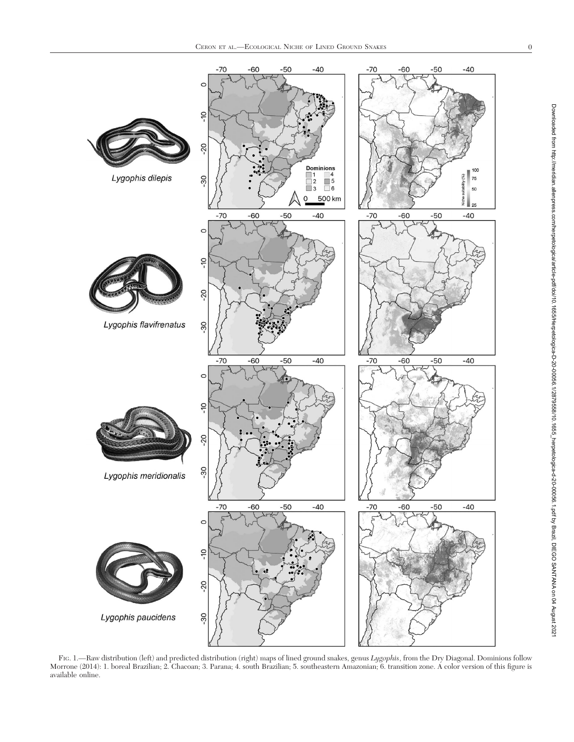

F1G. 1.—Raw distribution (left) and predicted distribution (right) maps of lined ground snakes, genus *Lygophis*, from the Dry Diagonal. Dominions follow Morrone (2014): 1. boreal Brazilian; 2. Chacoan; 3. Parana; 4. south Brazilian; 5. southeastern Amazonian; 6. transition zone. A color version of this figure is available online.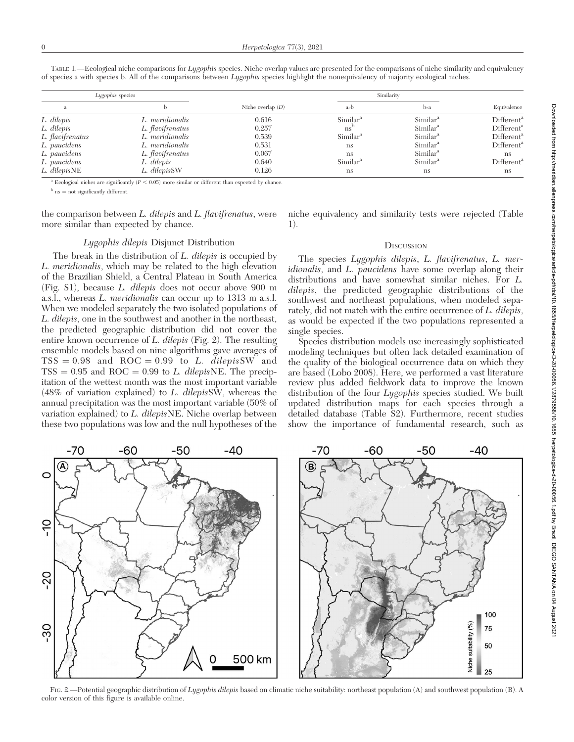| Lygophis species |                  |                     | Similarity           |                      |                        |
|------------------|------------------|---------------------|----------------------|----------------------|------------------------|
| a                |                  | Niche overlap $(D)$ | $a \rightarrow b$    | b»a                  | Equivalence            |
| L. dilepis       | L. meridionalis  | 0.616               | Similar <sup>a</sup> | Similar <sup>a</sup> | Different <sup>a</sup> |
| L. dilepis       | L. flavifrenatus | 0.257               | $ns^{\rm{d}}$        | Similar <sup>a</sup> | Different <sup>a</sup> |
| L. flavifrenatus | L. meridionalis  | 0.539               | Similar <sup>a</sup> | Similar <sup>a</sup> | Different <sup>a</sup> |
| L. paucidens     | L. meridionalis  | 0.531               | ns                   | Similar <sup>a</sup> | Different <sup>a</sup> |
| L. paucidens     | L. flavifrenatus | 0.067               | ns                   | Similar <sup>a</sup> | <sub>ns</sub>          |
| L. paucidens     | L. dilepis       | 0.640               | Similar <sup>a</sup> | Similar <sup>a</sup> | Different <sup>a</sup> |
| L. dilepisNE     | L. dilepisSW     | 0.126               | ns                   | <sub>ns</sub>        | <sub>ns</sub>          |

TABLE 1.—Ecological niche comparisons for Lygophis species. Niche overlap values are presented for the comparisons of niche similarity and equivalency of species a with species b. All of the comparisons between Lygophis species highlight the nonequivalency of majority ecological niches.

Ecological niches are significantly ( $P < 0.05$ ) more similar or different than expected by chance.

 $b$  ns  $=$  not significantly different.

the comparison between L. dilepis and L. flavifrenatus, were more similar than expected by chance.

niche equivalency and similarity tests were rejected (Table 1).

## Lygophis dilepis Disjunct Distribution

The break in the distribution of L. dilepis is occupied by L. meridionalis, which may be related to the high elevation of the Brazilian Shield, a Central Plateau in South America (Fig. S1), because L. dilepis does not occur above 900 m a.s.l., whereas L. meridionalis can occur up to 1313 m a.s.l. When we modeled separately the two isolated populations of L. dilepis, one in the southwest and another in the northeast, the predicted geographic distribution did not cover the entire known occurrence of L. dilepis (Fig. 2). The resulting ensemble models based on nine algorithms gave averages of  $TSS = 0.98$  and  $ROC = 0.99$  to L. dilepisSW and  $TSS = 0.95$  and ROC = 0.99 to L. dilepisNE. The precipitation of the wettest month was the most important variable (48% of variation explained) to L. dilepisSW, whereas the annual precipitation was the most important variable (50% of variation explained) to L. dilepisNE. Niche overlap between these two populations was low and the null hypotheses of the

-50

-60

O

color version of this figure is available online.

### **DISCUSSION**

The species Lygophis dilepis, L. flavifrenatus, L. meridionalis, and L. paucidens have some overlap along their distributions and have somewhat similar niches. For L. dilepis, the predicted geographic distributions of the southwest and northeast populations, when modeled separately, did not match with the entire occurrence of L. dilepis, as would be expected if the two populations represented a single species.

Species distribution models use increasingly sophisticated modeling techniques but often lack detailed examination of the quality of the biological occurrence data on which they are based (Lobo 2008). Here, we performed a vast literature review plus added fieldwork data to improve the known distribution of the four *Lygophis* species studied. We built updated distribution maps for each species through a detailed database (Table S2). Furthermore, recent studies show the importance of fundamental research, such as





-40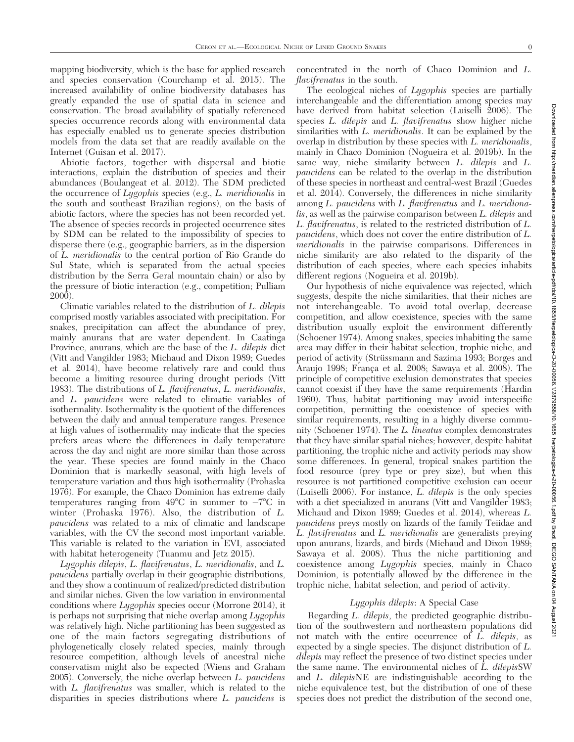mapping biodiversity, which is the base for applied research and species conservation (Courchamp et al. 2015). The increased availability of online biodiversity databases has greatly expanded the use of spatial data in science and conservation. The broad availability of spatially referenced species occurrence records along with environmental data has especially enabled us to generate species distribution models from the data set that are readily available on the Internet (Guisan et al. 2017).

Abiotic factors, together with dispersal and biotic interactions, explain the distribution of species and their abundances (Boulangeat et al. 2012). The SDM predicted the occurrence of Lygophis species (e.g., L. meridionalis in the south and southeast Brazilian regions), on the basis of abiotic factors, where the species has not been recorded yet. The absence of species records in projected occurrence sites by SDM can be related to the impossibility of species to disperse there (e.g., geographic barriers, as in the dispersion of L. meridionalis to the central portion of Rio Grande do Sul State, which is separated from the actual species distribution by the Serra Geral mountain chain) or also by the pressure of biotic interaction (e.g., competition; Pulliam 2000).

Climatic variables related to the distribution of L. dilepis comprised mostly variables associated with precipitation. For snakes, precipitation can affect the abundance of prey, mainly anurans that are water dependent. In Caatinga Province, anurans, which are the base of the L. dilepis diet (Vitt and Vangilder 1983; Michaud and Dixon 1989; Guedes et al. 2014), have become relatively rare and could thus become a limiting resource during drought periods (Vitt 1983). The distributions of L. flavifrenatus, L. meridionalis, and L. paucidens were related to climatic variables of isothermality. Isothermality is the quotient of the differences between the daily and annual temperature ranges. Presence at high values of isothermality may indicate that the species prefers areas where the differences in daily temperature across the day and night are more similar than those across the year. These species are found mainly in the Chaco Dominion that is markedly seasonal, with high levels of temperature variation and thus high isothermality (Prohaska 1976). For example, the Chaco Dominion has extreme daily temperatures ranging from  $49^{\circ}$ C in summer to  $-7^{\circ}$ C in winter (Prohaska 1976). Also, the distribution of L. paucidens was related to a mix of climatic and landscape variables, with the CV the second most important variable. This variable is related to the variation in EVI, associated with habitat heterogeneity (Tuanmu and Jetz 2015).

Lygophis dilepis, L. flavifrenatus, L. meridionalis, and L. paucidens partially overlap in their geographic distributions, and they show a continuum of realized/predicted distribution and similar niches. Given the low variation in environmental conditions where Lygophis species occur (Morrone 2014), it is perhaps not surprising that niche overlap among Lygophis was relatively high. Niche partitioning has been suggested as one of the main factors segregating distributions of phylogenetically closely related species, mainly through resource competition, although levels of ancestral niche conservatism might also be expected (Wiens and Graham  $2005$ ). Conversely, the niche overlap between *L. paucidens* with L. flavifrenatus was smaller, which is related to the disparities in species distributions where L. paucidens is

concentrated in the north of Chaco Dominion and L. flavifrenatus in the south.

The ecological niches of *Lygophis* species are partially interchangeable and the differentiation among species may have derived from habitat selection (Luiselli 2006). The species *L. dilepis* and *L. flavifrenatus* show higher niche similarities with L. *meridionalis*. It can be explained by the overlap in distribution by these species with L. meridionalis, mainly in Chaco Dominion (Nogueira et al. 2019b). In the same way, niche similarity between L. dilepis and L. paucidens can be related to the overlap in the distribution of these species in northeast and central-west Brazil (Guedes et al. 2014). Conversely, the differences in niche similarity among L. paucidens with L. flavifrenatus and L. meridionalis, as well as the pairwise comparison between L. dilepis and L. flavifrenatus, is related to the restricted distribution of L. paucidens, which does not cover the entire distribution of L. meridionalis in the pairwise comparisons. Differences in niche similarity are also related to the disparity of the distribution of each species, where each species inhabits different regions (Nogueira et al. 2019b).

Our hypothesis of niche equivalence was rejected, which suggests, despite the niche similarities, that their niches are not interchangeable. To avoid total overlap, decrease competition, and allow coexistence, species with the same distribution usually exploit the environment differently (Schoener 1974). Among snakes, species inhabiting the same area may differ in their habitat selection, trophic niche, and period of activity (Strüssmann and Sazima 1993; Borges and Araujo 1998; França et al. 2008; Sawaya et al. 2008). The principle of competitive exclusion demonstrates that species cannot coexist if they have the same requirements (Hardin 1960). Thus, habitat partitioning may avoid interspecific competition, permitting the coexistence of species with similar requirements, resulting in a highly diverse community (Schoener 1974). The L. lineatus complex demonstrates that they have similar spatial niches; however, despite habitat partitioning, the trophic niche and activity periods may show some differences. In general, tropical snakes partition the food resource (prey type or prey size), but when this resource is not partitioned competitive exclusion can occur (Luiselli 2006). For instance, L. dilepis is the only species with a diet specialized in anurans (Vitt and Vangilder 1983; Michaud and Dixon 1989; Guedes et al. 2014), whereas L. paucidens preys mostly on lizards of the family Teiidae and L. flavifrenatus and L. meridionalis are generalists preying upon anurans, lizards, and birds (Michaud and Dixon 1989; Sawaya et al. 2008). Thus the niche partitioning and coexistence among Lygophis species, mainly in Chaco Dominion, is potentially allowed by the difference in the trophic niche, habitat selection, and period of activity.

# Lygophis dilepis: A Special Case

Regarding L. dilepis, the predicted geographic distribution of the southwestern and northeastern populations did not match with the entire occurrence of L. dilepis, as expected by a single species. The disjunct distribution of L. dilepis may reflect the presence of two distinct species under the same name. The environmental niches of L. dilepisSW and L. dilepisNE are indistinguishable according to the niche equivalence test, but the distribution of one of these species does not predict the distribution of the second one,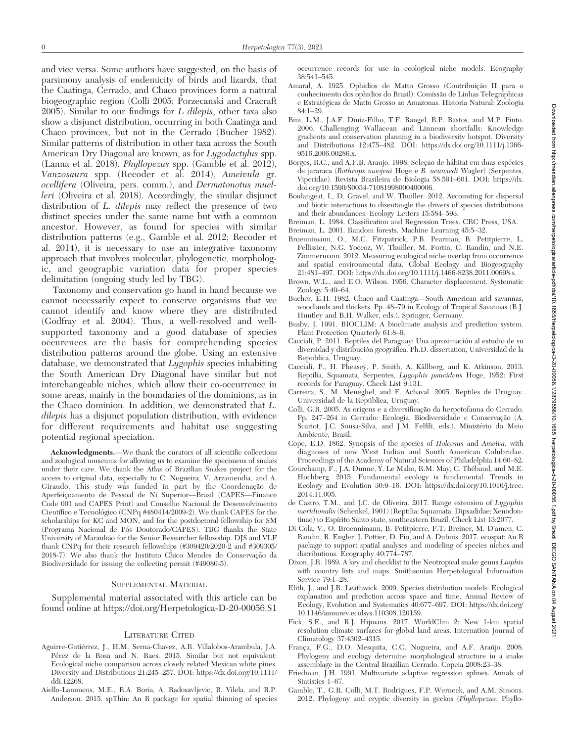and vice versa. Some authors have suggested, on the basis of parsimony analysis of endemicity of birds and lizards, that the Caatinga, Cerrado, and Chaco provinces form a natural biogeographic region (Colli 2005; Porzecanski and Cracraft  $2005$ ). Similar to our findings for L dilepis, other taxa also show a disjunct distribution, occurring in both Caatinga and Chaco provinces, but not in the Cerrado (Bucher 1982). Similar patterns of distribution in other taxa across the South American Dry Diagonal are known, as for Lygodactylus spp. (Lanna et al. 2018), Phyllopezus spp. (Gamble et al. 2012), Vanzosaura spp. (Recoder et al. 2014), Ameivula gr. ocellifera (Oliveira, pers. comm.), and Dermatonotus muelleri (Oliveira et al. 2018). Accordingly, the similar disjunct distribution of *L. dilepis* may reflect the presence of two distinct species under the same name but with a common ancestor. However, as found for species with similar distribution patterns (e.g., Gamble et al. 2012; Recoder et al. 2014), it is necessary to use an integrative taxonomy approach that involves molecular, phylogenetic, morphologic, and geographic variation data for proper species delimitation (ongoing study led by TBG).

Taxonomy and conservation go hand in hand because we cannot necessarily expect to conserve organisms that we cannot identify and know where they are distributed (Godfray et al. 2004). Thus, a well-resolved and wellsupported taxonomy and a good database of species occurences are the basis for comprehending species distribution patterns around the globe. Using an extensive database, we demonstrated that Lygophis species inhabiting the South American Dry Diagonal have similar but not interchangeable niches, which allow their co-occurrence in some areas, mainly in the boundaries of the dominions, as in the Chaco dominion. In addition, we demonstrated that L. dilepis has a disjunct population distribution, with evidence for different requirements and habitat use suggesting potential regional speciation.

Acknowledgments.—We thank the curators of all scientific collections and zoological museums for allowing us to examine the specimens of snakes under their care. We thank the Atlas of Brazilian Snakes project for the access to original data, especially to C. Nogueira, V. Arzamendia, and A. Giraudo. This study was funded in part by the Coordenação de Aperfeiçoamento de Pessoal de Ní Superior-Brasil (CAPES-Finance Code 001 and CAPES Print) and Conselho Nacional de Desenvolvimento Científico e Tecnológico (CNPq #480414/2009-2). We thank CAPES for the scholarships for KC and MON, and for the postdoctoral fellowship for SM (Programa Nacional de Pós Doutorado/CAPES). TBG thanks the State University of Maranhão for the Senior Researcher fellowship. DJS and VLF thank CNPq for their research fellowships (#309420/2020-2 and #309305/ 2018-7). We also thank the Instituto Chico Mendes de Conservação da Biodiversidade for issuing the collecting permit (#49080-5).

#### SUPPLEMENTAL MATERIAL

Supplemental material associated with this article can be found online at https://doi.org/Herpetologica-D-20-00056.S1

#### LITERATURE CITED

- Aguirre-Gutiérrez, J., H.M. Serna-Chavez, A.R. Villalobos-Arambula, J.A. Pérez de la Rosa and N. Raes. 2015. Similar but not equivalent: Ecological niche comparison across closely related Mexican white pines. Diversity and Distributions 21:245–257. DOI: https://dx.doi.org/10.1111/ ddi.12268.
- Aiello-Lammens, M.E., R.A. Boria, A. Radosavljevic, B. Vilela, and R.P. Anderson. 2015. spThin: An R package for spatial thinning of species

occurrence records for use in ecological niche models. Ecography 38:541–545.

- Amaral, A. 1925. Ophidios de Matto Grosso (Contribuição II para o conhecimento dos ophidios do Brasil). Comissão de Linhas Telegráphicas e Estrategicas de Matto Grosso ao Amazonas. Historia Natural: Zoologia ´ 84:1–29.
- Bini, L.M., J.A.F. Diniz-Filho, T.F. Rangel, R.P. Bastos, and M.P. Pinto. 2006. Challenging Wallacean and Linnean shortfalls: Knowledge gradients and conservation planning in a biodiversity hotspot. Diversity and Distributions 12:475–482. DOI: https://dx.doi.org/10.1111/j.1366- 9516.2006.00286.x.
- Borges, R.C., and A.F.B. Araujo. 1998. Seleção de hábitat em duas espécies de jararaca (Bothrops moojeni Hoge e B. neuwiedi Wagler) (Serpentes, Viperidae). Revista Brasileira de Biologia 58:591–601. DOI: https://dx. doi.org/10.1590/S0034-71081998000400006.
- Boulangeat, I., D. Gravel, and W. Thuiller. 2012. Accounting for dispersal and biotic interactions to disentangle the drivers of species distributions and their abundances. Ecology Letters 15:584–593.
- Breiman, L. 1984. Classification and Regression Trees. CRC Press, USA. Breiman, L. 2001. Random forests. Machine Learning 45:5–32.
- Broennimann, O., M.C. Fitzpatrick, P.B. Pearman, B. Petitpierre, L. Pellissier, N.G. Yoccoz, W. Thuiller, M. Fortin, C. Randin, and N.E. Zimmermann. 2012. Measuring ecological niche overlap from occurrence and spatial environmental data. Global Ecology and Biogeography 21:481–497. DOI: https://dx.doi.org/10.1111/j.1466-8238.2011.00698.x.
- Brown, W.L., and E.O. Wilson. 1956. Character displacement. Systematic Zoology 5:49–64.
- Bucher, E.H. 1982. Chaco and Caatinga—South American arid savannas, woodlands and thickets. Pp. 48–79 in Ecology of Tropical Savannas (B.J. Huntley and B.H. Walker, eds.). Springer, Germany.
- Busby, J. 1991. BIOCLIM: A bioclimate analysis and prediction system. Plant Protection Quarterly 61:8–9.
- Cacciali, P. 2011. Reptiles del Paraguay: Una aproximacion al estudio de su ´ diversidad y distribución geográfica. Ph.D. dissertation, Universidad de la Republica, Uruguay.
- Cacciali, P., H. Pheasey, P. Smith, A. Källberg, and K. Atkinson. 2013. Reptilia, Squamata, Serpentes, Lygophis paucidens Hoge, 1952: First records for Paraguay. Check List 9:131.
- Carreira, S., M. Meneghel, and F. Achaval. 2005. Reptiles de Uruguay. Universidad de la República, Uruguay.
- Colli, G.R. 2005. As origens e a diversificação da herpetofauna do Cerrado. Pp. 247–264 in Cerrado: Ecologia, Biodiversidade e Conservação (A. Scariot, J.C. Sousa-Silva, and J.M. Felfili, eds.). Ministério do Meio Ambiente, Brasil.
- Cope, E.D. 1862. Synopsis of the species of Holcosus and Ameiva, with diagnoses of new West Indian and South American Colubridae. Proceedings of the Academy of Natural Sciences of Philadelphia 14:60–82.
- Courchamp, F., J.A. Dunne, Y. Le Maho, R.M. May, C. Thebaud, and M.E. ´ Hochberg. 2015. Fundamental ecology is fundamental. Trends in Ecology and Evolution 30:9–16. DOI: https://dx.doi.org/10.1016/j.tree. 2014.11.005.
- de Castro, T.M., and J.C. de Oliveira. 2017. Range extension of Lygophis meridionalis (Schenkel, 1901) (Reptilia: Squamata: Dipsadidae: Xenodontinae) to Espírito Santo state, southeastern Brazil. Check List 13:2077.
- Di Cola, V., O. Broennimann, B. Petitpierre, F.T. Breiner, M. D'amen, C. Randin, R. Engler, J. Pottier, D. Pio, and A. Dubuis. 2017. ecospat: An R package to support spatial analyses and modeling of species niches and distributions. Ecography 40:774–787.
- Dixon, J.R. 1989. A key and checklist to the Neotropical snake genus Liophis with country lists and maps. Smithsonian Herpetological Information Service 79:1–28.
- Elith, J., and J.R. Leathwick. 2009. Species distribution models: Ecological explanation and prediction across space and time. Annual Review of Ecology, Evolution and Systematics 40:677–697. DOI: https://dx.doi.org/ 10.1146/annurev.ecolsys.110308.120159.
- Fick, S.E., and R.J. Hijmans. 2017. WorldClim 2: New 1-km spatial resolution climate surfaces for global land areas. Internation Journal of Climatology 37:4302–4315.
- França, F.G., D.O. Mesquita, C.C. Nogueira, and A.F. Araújo. 2008. Phylogeny and ecology determine morphological structure in a snake assemblage in the Central Brazilian Cerrado. Copeia 2008:23–38.
- Friedman, J.H. 1991. Multivariate adaptive regression splines. Annals of Statistics 1–67.
- Gamble, T., G.R. Colli, M.T. Rodrigues, F.P. Werneck, and A.M. Simons. 2012. Phylogeny and cryptic diversity in geckos (Phyllopezus; Phyllo-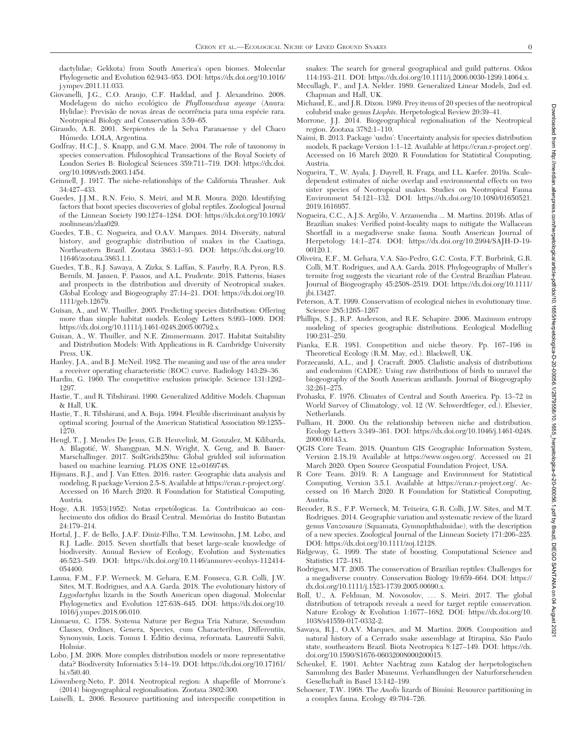dactylidae; Gekkota) from South America's open biomes. Molecular Phylogenetic and Evolution 62:943–953. DOI: https://dx.doi.org/10.1016/ j.ympev.2011.11.033.

- Giovanelli, J.G., C.O. Araujo, C.F. Haddad, and J. Alexandrino. 2008. Modelagem do nicho ecológico de Phyllomedusa ayeaye (Anura: Hylidae): Previsão de novas áreas de ocorrência para uma espécie rara. Neotropical Biology and Conservation 3:59–65.
- Giraudo, A.R. 2001. Serpientes de la Selva Paranaense y del Chaco Húmedo. LOLA, Argentina.
- Godfray, H.C.J., S. Knapp, and G.M. Mace. 2004. The role of taxonomy in species conservation. Philosophical Transactions of the Royal Society of London Series B: Biological Sciences 359:711–719. DOI: https://dx.doi. org/10.1098/rstb.2003.1454.
- Grinnell, J. 1917. The niche-relationships of the California Thrasher. Auk 34:427–433.
- Guedes, J.J.M., R.N. Feio, S. Meiri, and M.R. Moura. 2020. Identifying factors that boost species discoveries of global reptiles. Zoological Journal of the Linnean Society 190:1274–1284. DOI: https://dx.doi.org/10.1093/ zoolinnean/zlaa029.
- Guedes, T.B., C. Nogueira, and O.A.V. Marques. 2014. Diversity, natural history, and geographic distribution of snakes in the Caatinga, Northeastern Brazil. Zootaxa 3863:1–93. DOI: https://dx.doi.org/10. 11646/zootaxa.3863.1.1.
- Guedes, T.B., R.J. Sawaya, A. Zizka, S. Laffan, S. Faurby, R.A. Pyron, R.S. Bernils, M. Jansen, P. Passos, and A.L. Prudente. 2018. Patterns, biases and prospects in the distribution and diversity of Neotropical snakes. Global Ecology and Biogeography 27:14–21. DOI: https://dx.doi.org/10. 1111/geb.12679.
- Guisan, A., and W. Thuiller. 2005. Predicting species distribution: Offering more than simple habitat models. Ecology Letters 8:993–1009. DOI: https://dx.doi.org/10.1111/j.1461-0248.2005.00792.x.
- Guisan, A., W. Thuiller, and N.E. Zimmermann. 2017. Habitat Suitability and Distribution Models: With Applications in R. Cambridge University Press, UK.
- Hanley, J.A., and B.J. McNeil. 1982. The meaning and use of the area under a receiver operating characteristic (ROC) curve. Radiology 143:29–36.
- Hardin, G. 1960. The competitive exclusion principle. Science 131:1292– 1297.
- Hastie, T., and R. Tibshirani. 1990. Generalized Additive Models. Chapman & Hall, UK.
- Hastie, T., R. Tibshirani, and A. Buja. 1994. Flexible discriminant analysis by optimal scoring. Journal of the American Statistical Association 89:1255– 1270.
- Hengl, T., J. Mendes De Jesus, G.B. Heuvelink, M. Gonzalez, M. Kilibarda, A. Blagotic, W. Shangguan, M.N. Wright, X. Geng, and B. Bauer- ´ Marschallinger. 2017. SoilGrids250m: Global gridded soil information based on machine learning. PLOS ONE 12:e0169748.
- Hijmans, R.J., and J. Van Etten. 2016. raster: Geographic data analysis and modeling, R package Version 2.5-8. Available at https://cran.r-project.org/. Accessed on 16 March 2020. R Foundation for Statistical Computing, Austria.
- Hoge, A.R. 1953(1952). Notas erpetólogicas. 1a. Contribuicao ao conhecimento dos ofidios do Brasil Central. Memórias do Instito Butantan 24:179–214.
- Hortal, J., F. de Bello, J.A.F. Diniz-Filho, T.M. Lewinsohn, J.M. Lobo, and R.J. Ladle. 2015. Seven shortfalls that beset large-scale knowledge of biodiversity. Annual Review of Ecology, Evolution and Systematics 46:523–549. DOI: https://dx.doi.org/10.1146/annurev-ecolsys-112414- 054400.
- Lanna, F.M., F.P. Werneck, M. Gehara, E.M. Fonseca, G.R. Colli, J.W. Sites, M.T. Rodrigues, and A.A. Garda. 2018. The evolutionary history of Lygodactylus lizards in the South American open diagonal. Molecular Phylogenetics and Evolution 127:638–645. DOI: https://dx.doi.org/10. 1016/j.ympev.2018.06.010.
- Linnaeus, C. 1758. Systema Naturæ per Regna Tria Naturæ, Secundum Classes, Ordines, Genera, Species, cum Characteribus, Differentiis, Synonymis, Locis. Tomus I. Editio decima, reformata. Laurentii Salvii, Holmiæ.
- Lobo, J.M. 2008. More complex distribution models or more representative data? Biodiversity Informatics 5:14–19. DOI: https://dx.doi.org/10.17161/ bi.v5i0.40.
- Löwenberg-Neto, P. 2014. Neotropical region: A shapefile of Morrone's (2014) biogeographical regionalisation. Zootaxa 3802:300.

Luiselli, L. 2006. Resource partitioning and interspecific competition in

snakes: The search for general geographical and guild patterns. Oikos 114:193–211. DOI: https://dx.doi.org/10.1111/j.2006.0030-1299.14064.x.

- Mccullagh, P., and J.A. Nelder. 1989. Generalized Linear Models, 2nd ed. Chapman and Hall, UK.
- Michaud, E., and J.R. Dixon. 1989. Prey items of 20 species of the neotropical colubrid snake genus Liophis. Herpetological Review 20:39–41.
- Morrone, J.J. 2014. Biogeographical regionalisation of the Neotropical region. Zootaxa 3782:1–110.
- Naimi, B. 2013. Package 'usdm': Uncertainty analysis for species distribution models, R package Version 1:1–12. Available at https://cran.r-project.org/. Accessed on 16 March 2020. R Foundation for Statistical Computing, Austria.
- Nogueira, T., W. Ayala, J. Dayrell, R. Fraga, and I.L. Kaefer. 2019a. Scaledependent estimates of niche overlap and environmental effects on two sister species of Neotropical snakes. Studies on Neotropical Fauna Environment 54:121–132. DOI: https://dx.doi.org/10.1080/01650521. 2019.1616957.
- Nogueira, C.C., A.J.S. Argôlo, V. Arzamendia ... M. Martins. 2019b. Atlas of Brazilian snakes: Verified point-locality maps to mitigate the Wallacean Shortfall in a megadiverse snake fauna. South American Journal of Herpetology 14:1–274. DOI: https://dx.doi.org/10.2994/SAJH-D-19- 00120.1.
- Oliveira, E.F., M. Gehara, V.A. São-Pedro, G.C. Costa, F.T. Burbrink, G.R. Colli, M.T. Rodrigues, and A.A. Garda. 2018. Phylogeography of Muller's termite frog suggests the vicariant role of the Central Brazilian Plateau. Journal of Biogeography 45:2508–2519. DOI: https://dx.doi.org/10.1111/ jbi.13427.
- Peterson, A.T. 1999. Conservatism of ecological niches in evolutionary time. Science 285:1265–1267
- Phillips, S.J., R.P. Anderson, and R.E. Schapire. 2006. Maximum entropy modeling of species geographic distributions. Ecological Modelling 190:231–259.
- Pianka, E.R. 1981. Competition and niche theory. Pp. 167–196 in Theoretical Ecology (R.M. May, ed.). Blackwell, UK.
- Porzecanski, A.L., and J. Cracraft. 2005. Cladistic analysis of distributions and endemism (CADE): Using raw distributions of birds to unravel the biogeography of the South American aridlands. Journal of Biogeography 32:261–275.
- Prohaska, F. 1976. Climates of Central and South America. Pp. 13–72 in World Survey of Climatology, vol. 12 (W. Schwerdtfeger, ed.). Elsevier, Netherlands.
- Pulliam, H. 2000. On the relationship between niche and distribution. Ecology Letters 3:349–361. DOI: https://dx.doi.org/10.1046/j.1461-0248. 2000.00143.x.
- QGIS Core Team. 2018. Quantum GIS Geographic Information System, Version 2.18.19. Available at https://www.osgeo.org/. Accessed on 21 March 2020. Open Source Geospatial Foundation Project, USA.
- R Core Team. 2019. R: A Language and Environment for Statistical Computing, Version 3.5.1. Available at https://cran.r-project.org/. Accessed on 16 March 2020. R Foundation for Statistical Computing, Austria.
- Recoder, R.S., F.P. Werneck, M. Teixeira, G.R. Colli, J.W. Sites, and M.T. Rodrigues. 2014. Geographic variation and systematic review of the lizard genus Vanzosaura (Squamata, Gymnophthalmidae), with the description of a new species. Zoological Journal of the Linnean Society 171:206–225. DOI: https://dx.doi.org/10.1111/zoj.12128.
- Ridgeway, G. 1999. The state of boosting. Computational Science and Statistics 172–181.
- Rodrigues, M.T. 2005. The conservation of Brazilian reptiles: Challenges for a megadiverse country. Conservation Biology 19:659–664. DOI: https:// dx.doi.org/10.1111/j.1523-1739.2005.00690.x.
- Roll, U., A. Feldman, M. Novosolov, ... S. Meiri. 2017. The global distribution of tetrapods reveals a need for target reptile conservation. Nature Ecology & Evolution 1:1677–1682. DOI: https://dx.doi.org/10. 1038/s41559-017-0332-2.
- Sawaya, R.J., O.A.V. Marques, and M. Martins. 2008. Composition and natural history of a Cerrado snake assemblage at Itirapina, São Paulo state, southeastern Brazil. Biota Neotropica 8:127–149. DOI: https://dx. doi.org/10.1590/S1676-06032008000200015.
- Schenkel, E. 1901. Achter Nachtrag zum Katalog der herpetologischen Sammlung des Basler Museums. Verhandlungen der Naturforschenden Gesellschaft in Basel 13:142–199.
- Schoener, T.W. 1968. The Anolis lizards of Bimini: Resource partitioning in a complex fauna. Ecology 49:704–726.